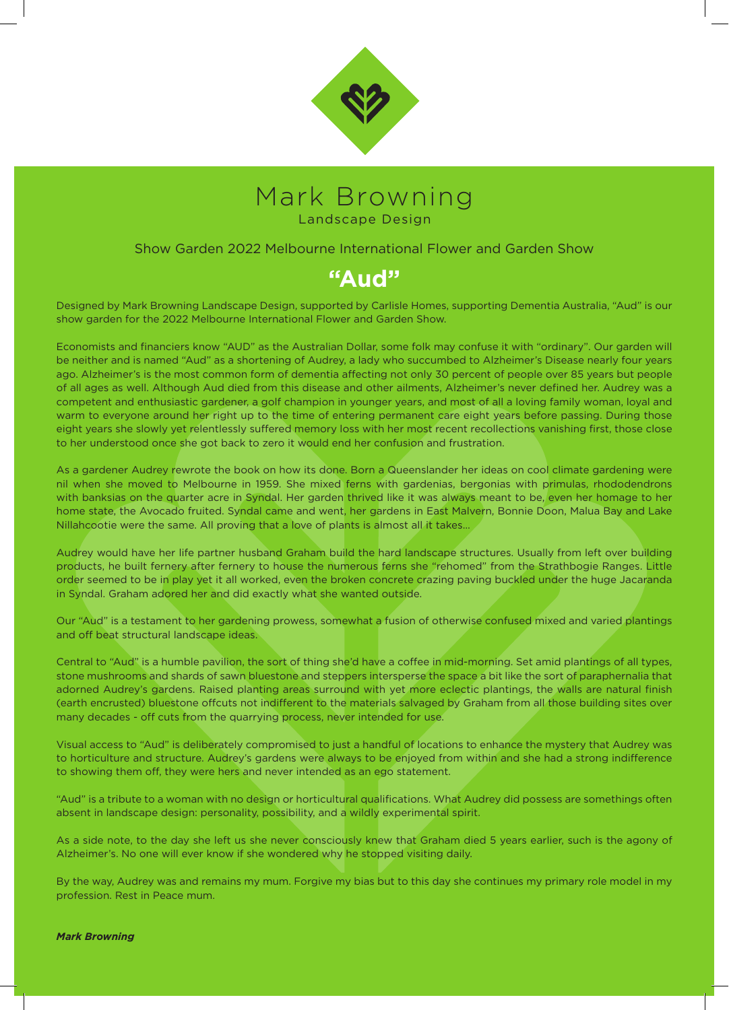



### Show Garden 2022 Melbourne International Flower and Garden Show

# **"Aud"**

Designed by Mark Browning Landscape Design, supported by Carlisle Homes, supporting Dementia Australia, "Aud" is our show garden for the 2022 Melbourne International Flower and Garden Show.

Economists and financiers know "AUD" as the Australian Dollar, some folk may confuse it with "ordinary". Our garden will be neither and is named "Aud" as a shortening of Audrey, a lady who succumbed to Alzheimer's Disease nearly four years ago. Alzheimer's is the most common form of dementia affecting not only 30 percent of people over 85 years but people of all ages as well. Although Aud died from this disease and other ailments, Alzheimer's never defined her. Audrey was a competent and enthusiastic gardener, a golf champion in younger years, and most of all a loving family woman, loyal and warm to everyone around her right up to the time of entering permanent care eight years before passing. During those eight years she slowly yet relentlessly suffered memory loss with her most recent recollections vanishing first, those close to her understood once she got back to zero it would end her confusion and frustration.

As a gardener Audrey rewrote the book on how its done. Born a Queenslander her ideas on cool climate gardening were nil when she moved to Melbourne in 1959. She mixed ferns with gardenias, bergonias with primulas, rhododendrons with banksias on the quarter acre in Syndal. Her garden thrived like it was always meant to be, even her homage to her home state, the Avocado fruited. Syndal came and went, her gardens in East Malvern, Bonnie Doon, Malua Bay and Lake Nillahcootie were the same. All proving that a love of plants is almost all it takes…

Audrey would have her life partner husband Graham build the hard landscape structures. Usually from left over building products, he built fernery after fernery to house the numerous ferns she "rehomed" from the Strathbogie Ranges. Little order seemed to be in play yet it all worked, even the broken concrete crazing paving buckled under the huge Jacaranda in Syndal. Graham adored her and did exactly what she wanted outside.

Our "Aud" is a testament to her gardening prowess, somewhat a fusion of otherwise confused mixed and varied plantings and off beat structural landscape ideas.

Central to "Aud" is a humble pavilion, the sort of thing she'd have a coffee in mid-morning. Set amid plantings of all types, stone mushrooms and shards of sawn bluestone and steppers intersperse the space a bit like the sort of paraphernalia that adorned Audrey's gardens. Raised planting areas surround with yet more eclectic plantings, the walls are natural finish (earth encrusted) bluestone offcuts not indifferent to the materials salvaged by Graham from all those building sites over many decades - off cuts from the quarrying process, never intended for use.

Visual access to "Aud" is deliberately compromised to just a handful of locations to enhance the mystery that Audrey was to horticulture and structure. Audrey's gardens were always to be enjoyed from within and she had a strong indifference to showing them off, they were hers and never intended as an ego statement.

"Aud" is a tribute to a woman with no design or horticultural qualifications. What Audrey did possess are somethings often absent in landscape design: personality, possibility, and a wildly experimental spirit.

As a side note, to the day she left us she never consciously knew that Graham died 5 years earlier, such is the agony of Alzheimer's. No one will ever know if she wondered why he stopped visiting daily.

By the way, Audrey was and remains my mum. Forgive my bias but to this day she continues my primary role model in my profession. Rest in Peace mum.

#### *Mark Browning*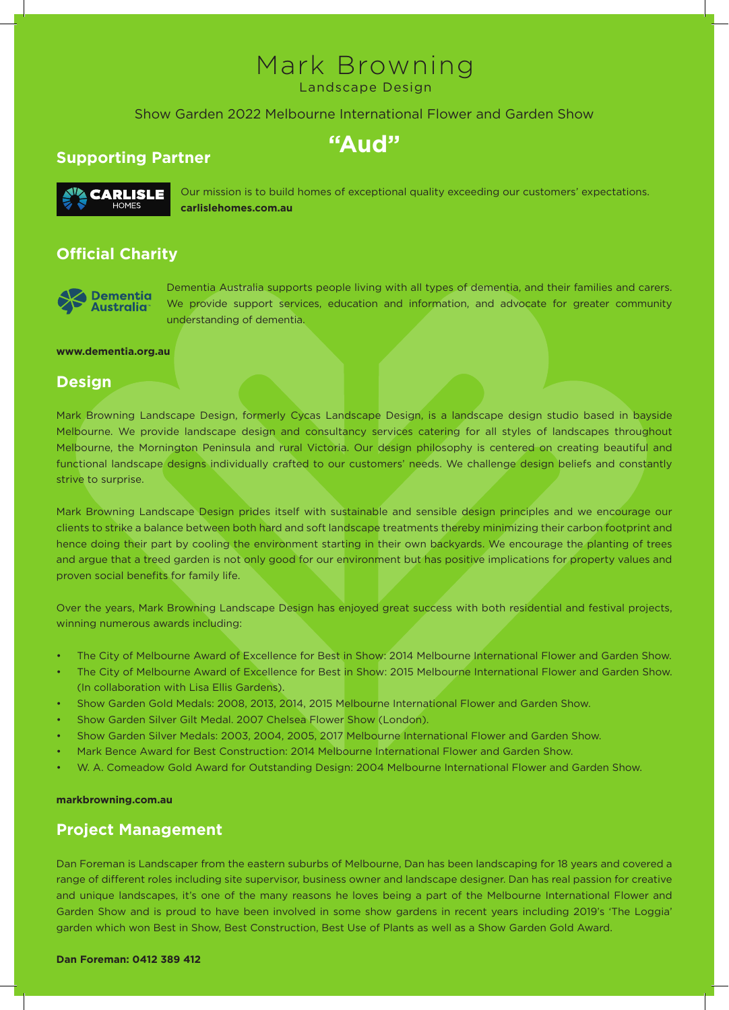# Mark Browning

Landscape Design

### Show Garden 2022 Melbourne International Flower and Garden Show

**"Aud"**

# **Supporting Partner**



Our mission is to build homes of exceptional quality exceeding our customers' expectations. **carlislehomes.com.au**

# **Official Charity**



Dementia Australia supports people living with all types of dementia, and their families and carers. We provide support services, education and information, and advocate for greater community understanding of dementia.

#### **www.dementia.org.au**

### **Design**

Mark Browning Landscape Design, formerly Cycas Landscape Design, is a landscape design studio based in bayside Melbourne. We provide landscape design and consultancy services catering for all styles of landscapes throughout Melbourne, the Mornington Peninsula and rural Victoria. Our design philosophy is centered on creating beautiful and functional landscape designs individually crafted to our customers' needs. We challenge design beliefs and constantly strive to surprise.

Mark Browning Landscape Design prides itself with sustainable and sensible design principles and we encourage our clients to strike a balance between both hard and soft landscape treatments thereby minimizing their carbon footprint and hence doing their part by cooling the environment starting in their own backyards. We encourage the planting of trees and argue that a treed garden is not only good for our environment but has positive implications for property values and proven social benefits for family life.

Over the years, Mark Browning Landscape Design has enjoyed great success with both residential and festival projects, winning numerous awards including:

- The City of Melbourne Award of Excellence for Best in Show: 2014 Melbourne International Flower and Garden Show.
- The City of Melbourne Award of Excellence for Best in Show: 2015 Melbourne International Flower and Garden Show. (In collaboration with Lisa Ellis Gardens).
- Show Garden Gold Medals: 2008, 2013, 2014, 2015 Melbourne International Flower and Garden Show.
- Show Garden Silver Gilt Medal. 2007 Chelsea Flower Show (London).
- Show Garden Silver Medals: 2003, 2004, 2005, 2017 Melbourne International Flower and Garden Show.
- Mark Bence Award for Best Construction: 2014 Melbourne International Flower and Garden Show.
- W. A. Comeadow Gold Award for Outstanding Design: 2004 Melbourne International Flower and Garden Show.

### **markbrowning.com.au**

# **Project Management**

Dan Foreman is Landscaper from the eastern suburbs of Melbourne, Dan has been landscaping for 18 years and covered a range of different roles including site supervisor, business owner and landscape designer. Dan has real passion for creative and unique landscapes, it's one of the many reasons he loves being a part of the Melbourne International Flower and Garden Show and is proud to have been involved in some show gardens in recent years including 2019's 'The Loggia' garden which won Best in Show, Best Construction, Best Use of Plants as well as a Show Garden Gold Award.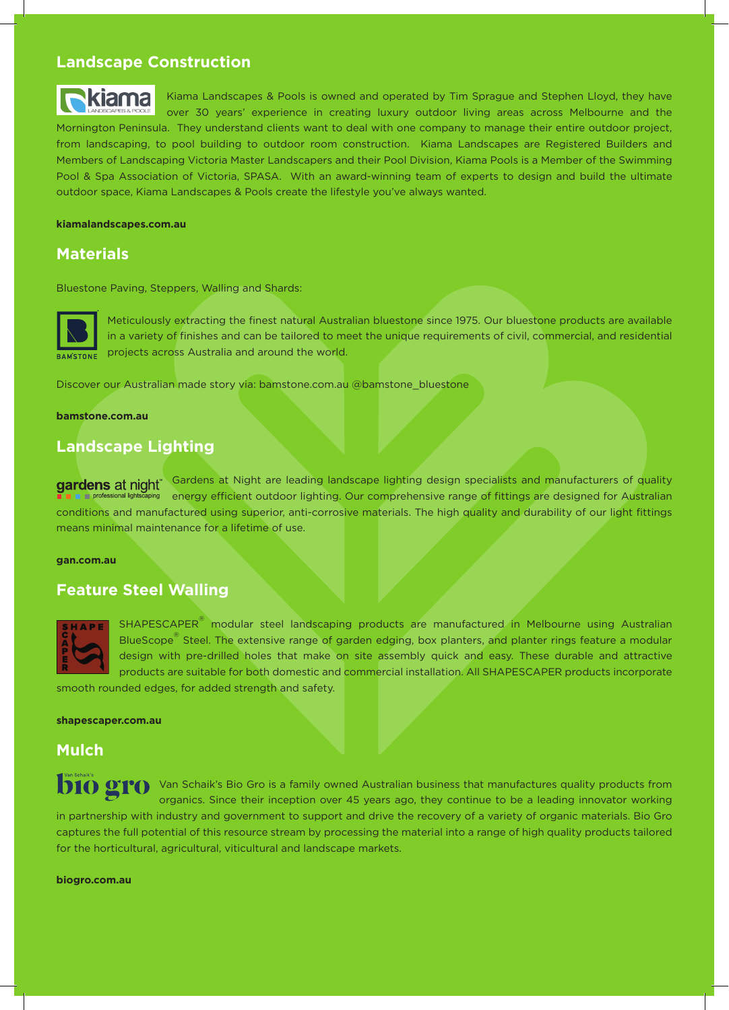## **Landscape Construction**



Kiama Landscapes & Pools is owned and operated by Tim Sprague and Stephen Lloyd, they have kiama over 30 years' experience in creating luxury outdoor living areas across Melbourne and the Mornington Peninsula. They understand clients want to deal with one company to manage their entire outdoor project, from landscaping, to pool building to outdoor room construction. Kiama Landscapes are Registered Builders and Members of Landscaping Victoria Master Landscapers and their Pool Division, Kiama Pools is a Member of the Swimming Pool & Spa Association of Victoria, SPASA. With an award-winning team of experts to design and build the ultimate outdoor space, Kiama Landscapes & Pools create the lifestyle you've always wanted.

### **kiamalandscapes.com.au**

## **Materials**

Bluestone Paving, Steppers, Walling and Shards:



Meticulously extracting the finest natural Australian bluestone since 1975. Our bluestone products are available in a variety of finishes and can be tailored to meet the unique requirements of civil, commercial, and residential projects across Australia and around the world.

Discover our Australian made story via: bamstone.com.au @bamstone\_bluestone

**bamstone.com.au**

# **Landscape Lighting**

gardens at night<sup>\*</sup> Gardens at Night are leading landscape lighting design specialists and manufacturers of quality energy efficient outdoor lighting. Our comprehensive range of fittings are designed for Australian conditions and manufactured using superior, anti-corrosive materials. The high quality and durability of our light fittings means minimal maintenance for a lifetime of use.

### **gan.com.au**

# **Feature Steel Walling**



SHAPESCAPER<sup>®</sup> modular steel landscaping products are manufactured in Melbourne using Australian BlueScope<sup>®</sup> Steel. The extensive range of garden edging, box planters, and planter rings feature a modular design with pre-drilled holes that make on site assembly quick and easy. These durable and attractive products are suitable for both domestic and commercial installation. All SHAPESCAPER products incorporate

smooth rounded edges, for added strength and safety.

### **shapescaper.com.au**

### **Mulch**

**DIO DIO** Van Schaik's Bio Gro is a family owned Australian business that manufactures quality products from organics. Since their inception over 45 years ago, they continue to be a leading innovator working in partnership with industry and government to support and drive the recovery of a variety of organic materials. Bio Gro captures the full potential of this resource stream by processing the material into a range of high quality products tailored for the horticultural, agricultural, viticultural and landscape markets.

**biogro.com.au**